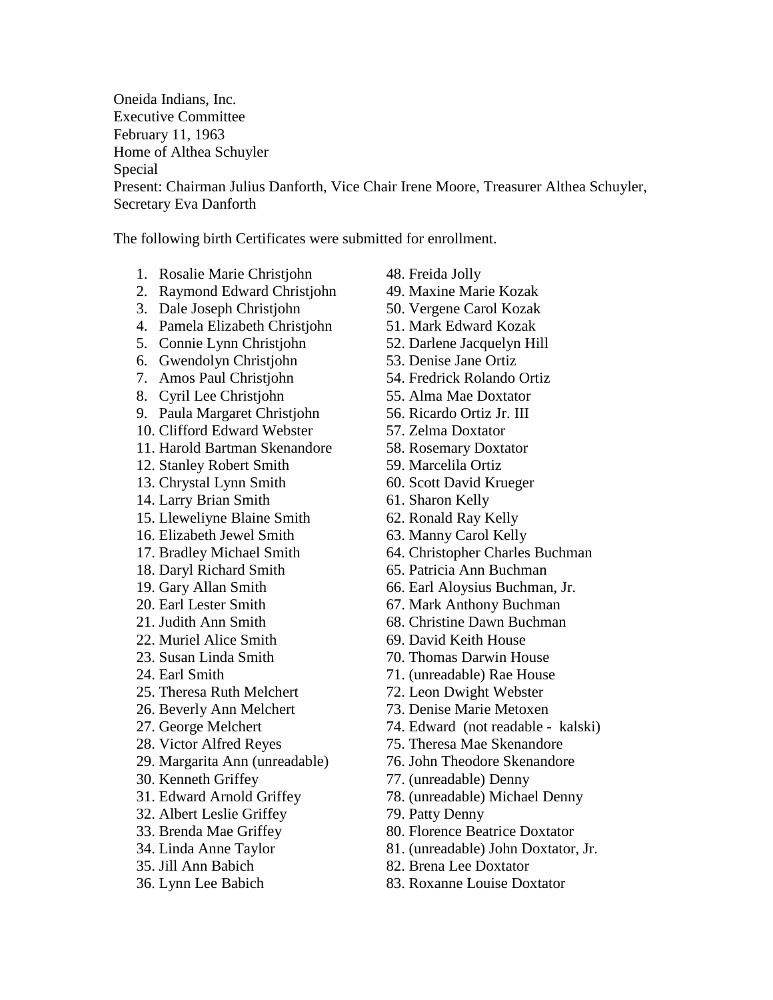Oneida Indians, Inc. Executive Committee February 11, 1963 Home of Althea Schuyler Special Present: Chairman Julius Danforth, Vice Chair Irene Moore, Treasurer Althea Schuyler, Secretary Eva Danforth

The following birth Certificates were submitted for enrollment.

- 1. Rosalie Marie Christjohn 48. Freida Jolly
- 2. Raymond Edward Christjohn 49. Maxine Marie Kozak
- 3. Dale Joseph Christjohn 50. Vergene Carol Kozak
- 4. Pamela Elizabeth Christjohn 51. Mark Edward Kozak
- 5. Connie Lynn Christjohn 52. Darlene Jacquelyn Hill
- 6. Gwendolyn Christjohn 53. Denise Jane Ortiz
- 
- 8. Cyril Lee Christjohn 55. Alma Mae Doxtator
- 9. Paula Margaret Christjohn 56. Ricardo Ortiz Jr. III
- 10. Clifford Edward Webster 57. Zelma Doxtator
- 11. Harold Bartman Skenandore 58. Rosemary Doxtator
- 12. Stanley Robert Smith 59. Marcelila Ortiz
- 13. Chrystal Lynn Smith 60. Scott David Krueger
- 14. Larry Brian Smith 61. Sharon Kelly
- 15. Lleweliyne Blaine Smith 62. Ronald Ray Kelly
- 16. Elizabeth Jewel Smith 63. Manny Carol Kelly
- 
- 
- 
- 
- 
- 22. Muriel Alice Smith 69. David Keith House
- 
- 
- 25. Theresa Ruth Melchert 72. Leon Dwight Webster
- 26. Beverly Ann Melchert 73. Denise Marie Metoxen
- 
- 
- 29. Margarita Ann (unreadable) 76. John Theodore Skenandore
- 
- 
- 32. Albert Leslie Griffey 79. Patty Denny
- 
- 
- 
- 
- 
- 
- 
- 
- 
- 
- 7. Amos Paul Christjohn 54. Fredrick Rolando Ortiz
	-
	-
	-
	-
	-
	-
	-
	-
	-
- 17. Bradley Michael Smith 64. Christopher Charles Buchman
- 18. Daryl Richard Smith 65. Patricia Ann Buchman
- 19. Gary Allan Smith 66. Earl Aloysius Buchman, Jr.
- 20. Earl Lester Smith 67. Mark Anthony Buchman
- 21. Judith Ann Smith 68. Christine Dawn Buchman
	-
- 23. Susan Linda Smith 70. Thomas Darwin House
- 24. Earl Smith 71. (unreadable) Rae House
	-
	-
- 27. George Melchert 74. Edward (not readable kalski)
- 28. Victor Alfred Reyes 75. Theresa Mae Skenandore
	-
- 30. Kenneth Griffey 77. (unreadable) Denny
- 31. Edward Arnold Griffey 78. (unreadable) Michael Denny
	-
- 33. Brenda Mae Griffey 80. Florence Beatrice Doxtator
- 34. Linda Anne Taylor 81. (unreadable) John Doxtator, Jr.
- 35. Jill Ann Babich 82. Brena Lee Doxtator
- 36. Lynn Lee Babich 83. Roxanne Louise Doxtator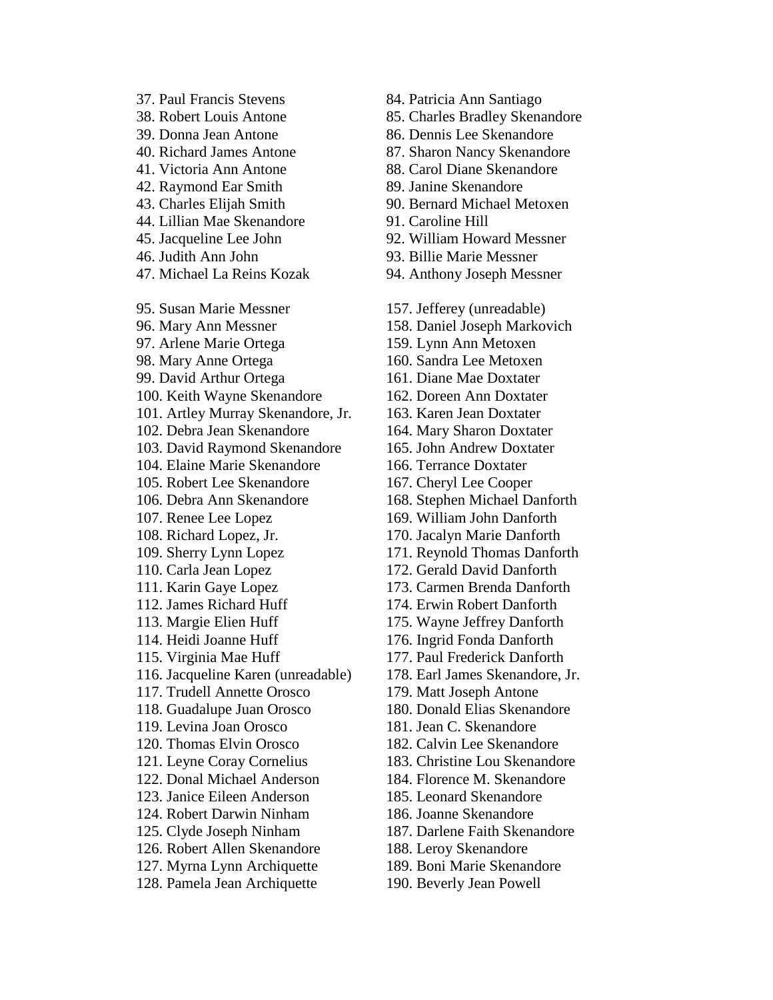37. Paul Francis Stevens 84. Patricia Ann Santiago 39. Donna Jean Antone 86. Dennis Lee Skenandore 41. Victoria Ann Antone 88. Carol Diane Skenandore 42. Raymond Ear Smith 89. Janine Skenandore 44. Lillian Mae Skenandore 91. Caroline Hill 46. Judith Ann John 93. Billie Marie Messner 47. Michael La Reins Kozak 94. Anthony Joseph Messner 95. Susan Marie Messner 157. Jefferey (unreadable) 97. Arlene Marie Ortega 159. Lynn Ann Metoxen 98. Mary Anne Ortega 160. Sandra Lee Metoxen 99. David Arthur Ortega 161. Diane Mae Doxtater 100. Keith Wayne Skenandore 162. Doreen Ann Doxtater 101. Artley Murray Skenandore, Jr. 163. Karen Jean Doxtater 102. Debra Jean Skenandore 164. Mary Sharon Doxtater 103. David Raymond Skenandore 165. John Andrew Doxtater 104. Elaine Marie Skenandore 166. Terrance Doxtater 105. Robert Lee Skenandore 167. Cheryl Lee Cooper 107. Renee Lee Lopez 169. William John Danforth 108. Richard Lopez, Jr. 170. Jacalyn Marie Danforth 110. Carla Jean Lopez 172. Gerald David Danforth 112. James Richard Huff 174. Erwin Robert Danforth 113. Margie Elien Huff 175. Wayne Jeffrey Danforth 114. Heidi Joanne Huff 176. Ingrid Fonda Danforth 115. Virginia Mae Huff 177. Paul Frederick Danforth 117. Trudell Annette Orosco 179. Matt Joseph Antone 119. Levina Joan Orosco 181. Jean C. Skenandore 120. Thomas Elvin Orosco 182. Calvin Lee Skenandore 123. Janice Eileen Anderson 185. Leonard Skenandore 124. Robert Darwin Ninham 186. Joanne Skenandore 126. Robert Allen Skenandore 188. Leroy Skenandore 127. Myrna Lynn Archiquette 189. Boni Marie Skenandore 128. Pamela Jean Archiquette 190. Beverly Jean Powell

38. Robert Louis Antone 85. Charles Bradley Skenandore 40. Richard James Antone 87. Sharon Nancy Skenandore 43. Charles Elijah Smith 90. Bernard Michael Metoxen 45. Jacqueline Lee John 92. William Howard Messner 96. Mary Ann Messner 158. Daniel Joseph Markovich 106. Debra Ann Skenandore 168. Stephen Michael Danforth 109. Sherry Lynn Lopez 171. Reynold Thomas Danforth 111. Karin Gaye Lopez 173. Carmen Brenda Danforth 116. Jacqueline Karen (unreadable) 178. Earl James Skenandore, Jr. 118. Guadalupe Juan Orosco 180. Donald Elias Skenandore 121. Leyne Coray Cornelius 183. Christine Lou Skenandore 122. Donal Michael Anderson 184. Florence M. Skenandore 125. Clyde Joseph Ninham 187. Darlene Faith Skenandore